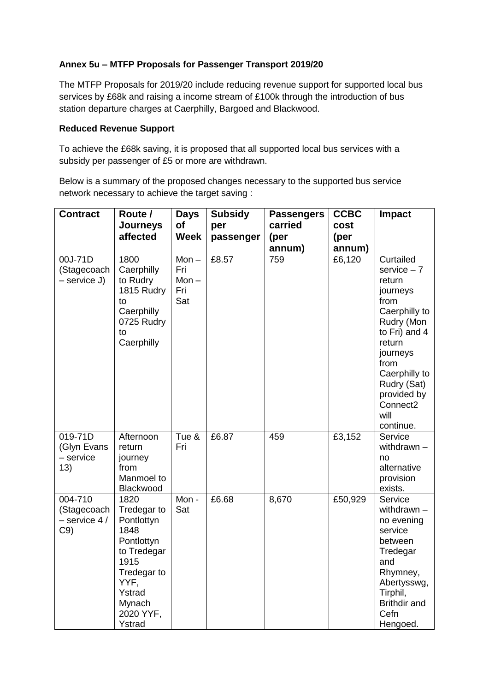#### **Annex 5u – MTFP Proposals for Passenger Transport 2019/20**

The MTFP Proposals for 2019/20 include reducing revenue support for supported local bus services by £68k and raising a income stream of £100k through the introduction of bus station departure charges at Caerphilly, Bargoed and Blackwood.

#### **Reduced Revenue Support**

To achieve the £68k saving, it is proposed that all supported local bus services with a subsidy per passenger of £5 or more are withdrawn.

Below is a summary of the proposed changes necessary to the supported bus service network necessary to achieve the target saving :

| <b>Contract</b>                                  | Route /<br><b>Journeys</b><br>affected                                                                                                           | <b>Days</b><br><b>of</b><br><b>Week</b> | <b>Subsidy</b><br>per<br>passenger | <b>Passengers</b><br>carried<br>(per<br>annum) | <b>CCBC</b><br>cost<br>(per<br>annum) | <b>Impact</b>                                                                                                                                                                                                                        |
|--------------------------------------------------|--------------------------------------------------------------------------------------------------------------------------------------------------|-----------------------------------------|------------------------------------|------------------------------------------------|---------------------------------------|--------------------------------------------------------------------------------------------------------------------------------------------------------------------------------------------------------------------------------------|
| 00J-71D<br>(Stagecoach<br>- service J)           | 1800<br>Caerphilly<br>to Rudry<br>1815 Rudry<br>to<br>Caerphilly<br>0725 Rudry<br>to<br>Caerphilly                                               | Mon $-$<br>Fri<br>Mon $-$<br>Fri<br>Sat | £8.57                              | 759                                            | £6,120                                | Curtailed<br>$s$ ervice $-7$<br>return<br>journeys<br>from<br>Caerphilly to<br>Rudry (Mon<br>to Fri) and 4<br>return<br>journeys<br>from<br>Caerphilly to<br>Rudry (Sat)<br>provided by<br>Connect <sub>2</sub><br>will<br>continue. |
| 019-71D<br>(Glyn Evans<br>$-$ service<br>13)     | Afternoon<br>return<br>journey<br>from<br>Manmoel to<br>Blackwood                                                                                | Tue &<br>Fri                            | £6.87                              | 459                                            | £3,152                                | Service<br>withdrawn -<br>no<br>alternative<br>provision<br>exists.                                                                                                                                                                  |
| 004-710<br>(Stagecoach<br>$-$ service 4 /<br>C9) | 1820<br>Tredegar to<br>Pontlottyn<br>1848<br>Pontlottyn<br>to Tredegar<br>1915<br>Tredegar to<br>YYF,<br>Ystrad<br>Mynach<br>2020 YYF,<br>Ystrad | Mon -<br>Sat                            | £6.68                              | 8,670                                          | £50,929                               | Service<br>withdrawn $-$<br>no evening<br>service<br>between<br>Tredegar<br>and<br>Rhymney,<br>Abertysswg,<br>Tirphil,<br><b>Brithdir and</b><br>Cefn<br>Hengoed.                                                                    |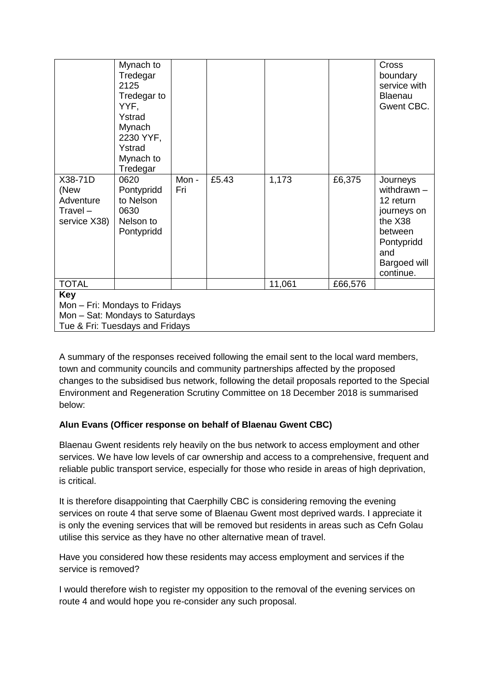| X38-71D<br>(New<br>Adventure<br>$Travel -$<br>service X38)       | Mynach to<br>Tredegar<br>2125<br>Tredegar to<br>YYF,<br>Ystrad<br>Mynach<br>2230 YYF,<br>Ystrad<br>Mynach to<br>Tredegar<br>0620<br>Pontypridd<br>to Nelson<br>0630<br>Nelson to<br>Pontypridd | Mon -<br>Fri | £5.43 | 1,173  | £6,375  | Cross<br>boundary<br>service with<br>Blaenau<br>Gwent CBC.<br>Journeys<br>withdrawn -<br>12 return<br>journeys on<br>the X38<br>between<br>Pontypridd<br>and<br>Bargoed will<br>continue. |  |  |  |  |
|------------------------------------------------------------------|------------------------------------------------------------------------------------------------------------------------------------------------------------------------------------------------|--------------|-------|--------|---------|-------------------------------------------------------------------------------------------------------------------------------------------------------------------------------------------|--|--|--|--|
| <b>TOTAL</b>                                                     |                                                                                                                                                                                                |              |       | 11,061 | £66,576 |                                                                                                                                                                                           |  |  |  |  |
| <b>Key</b>                                                       |                                                                                                                                                                                                |              |       |        |         |                                                                                                                                                                                           |  |  |  |  |
| Mon - Fri: Mondays to Fridays<br>Mon - Sat: Mondays to Saturdays |                                                                                                                                                                                                |              |       |        |         |                                                                                                                                                                                           |  |  |  |  |
|                                                                  | Tue & Fri: Tuesdays and Fridays                                                                                                                                                                |              |       |        |         |                                                                                                                                                                                           |  |  |  |  |

A summary of the responses received following the email sent to the local ward members, town and community councils and community partnerships affected by the proposed changes to the subsidised bus network, following the detail proposals reported to the Special Environment and Regeneration Scrutiny Committee on 18 December 2018 is summarised below:

## **Alun Evans (Officer response on behalf of Blaenau Gwent CBC)**

Blaenau Gwent residents rely heavily on the bus network to access employment and other services. We have low levels of car ownership and access to a comprehensive, frequent and reliable public transport service, especially for those who reside in areas of high deprivation, is critical.

It is therefore disappointing that Caerphilly CBC is considering removing the evening services on route 4 that serve some of Blaenau Gwent most deprived wards. I appreciate it is only the evening services that will be removed but residents in areas such as Cefn Golau utilise this service as they have no other alternative mean of travel.

Have you considered how these residents may access employment and services if the service is removed?

I would therefore wish to register my opposition to the removal of the evening services on route 4 and would hope you re-consider any such proposal.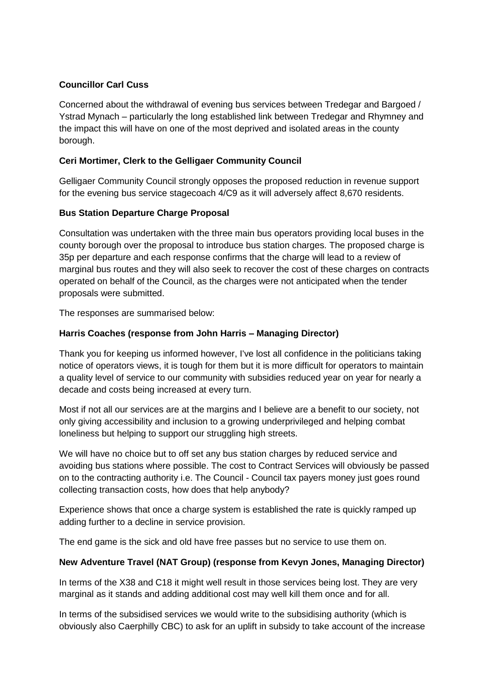## **Councillor Carl Cuss**

Concerned about the withdrawal of evening bus services between Tredegar and Bargoed / Ystrad Mynach – particularly the long established link between Tredegar and Rhymney and the impact this will have on one of the most deprived and isolated areas in the county borough.

# **Ceri Mortimer, Clerk to the Gelligaer Community Council**

Gelligaer Community Council strongly opposes the proposed reduction in revenue support for the evening bus service stagecoach 4/C9 as it will adversely affect 8,670 residents.

# **Bus Station Departure Charge Proposal**

Consultation was undertaken with the three main bus operators providing local buses in the county borough over the proposal to introduce bus station charges. The proposed charge is 35p per departure and each response confirms that the charge will lead to a review of marginal bus routes and they will also seek to recover the cost of these charges on contracts operated on behalf of the Council, as the charges were not anticipated when the tender proposals were submitted.

The responses are summarised below:

# **Harris Coaches (response from John Harris – Managing Director)**

Thank you for keeping us informed however, I've lost all confidence in the politicians taking notice of operators views, it is tough for them but it is more difficult for operators to maintain a quality level of service to our community with subsidies reduced year on year for nearly a decade and costs being increased at every turn.

Most if not all our services are at the margins and I believe are a benefit to our society, not only giving accessibility and inclusion to a growing underprivileged and helping combat loneliness but helping to support our struggling high streets.

We will have no choice but to off set any bus station charges by reduced service and avoiding bus stations where possible. The cost to Contract Services will obviously be passed on to the contracting authority i.e. The Council - Council tax payers money just goes round collecting transaction costs, how does that help anybody?

Experience shows that once a charge system is established the rate is quickly ramped up adding further to a decline in service provision.

The end game is the sick and old have free passes but no service to use them on.

## **New Adventure Travel (NAT Group) (response from Kevyn Jones, Managing Director)**

In terms of the X38 and C18 it might well result in those services being lost. They are very marginal as it stands and adding additional cost may well kill them once and for all.

In terms of the subsidised services we would write to the subsidising authority (which is obviously also Caerphilly CBC) to ask for an uplift in subsidy to take account of the increase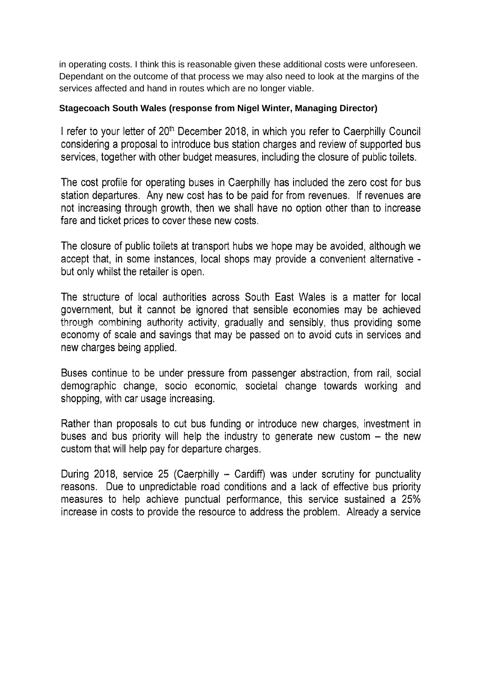in operating costs. I think this is reasonable given these additional costs were unforeseen. Dependant on the outcome of that process we may also need to look at the margins of the services affected and hand in routes which are no longer viable.

## Stagecoach South Wales (response from Nigel Winter, Managing Director)

I refer to your letter of 20<sup>th</sup> December 2018, in which you refer to Caerphilly Council considering a proposal to introduce bus station charges and review of supported bus services, together with other budget measures, including the closure of public toilets.

The cost profile for operating buses in Caerphilly has included the zero cost for bus station departures. Any new cost has to be paid for from revenues. If revenues are not increasing through growth, then we shall have no option other than to increase fare and ticket prices to cover these new costs.

The closure of public toilets at transport hubs we hope may be avoided, although we accept that, in some instances, local shops may provide a convenient alternative but only whilst the retailer is open.

The structure of local authorities across South East Wales is a matter for local government, but it cannot be ignored that sensible economies may be achieved through combining authority activity, gradually and sensibly, thus providing some economy of scale and savings that may be passed on to avoid cuts in services and new charges being applied.

Buses continue to be under pressure from passenger abstraction, from rail, social demographic change, socio economic, societal change towards working and shopping, with car usage increasing.

Rather than proposals to cut bus funding or introduce new charges, investment in buses and bus priority will help the industry to generate new custom  $-$  the new custom that will help pay for departure charges.

During 2018, service 25 (Caerphilly - Cardiff) was under scrutiny for punctuality reasons. Due to unpredictable road conditions and a lack of effective bus priority measures to help achieve punctual performance, this service sustained a 25% increase in costs to provide the resource to address the problem. Already a service